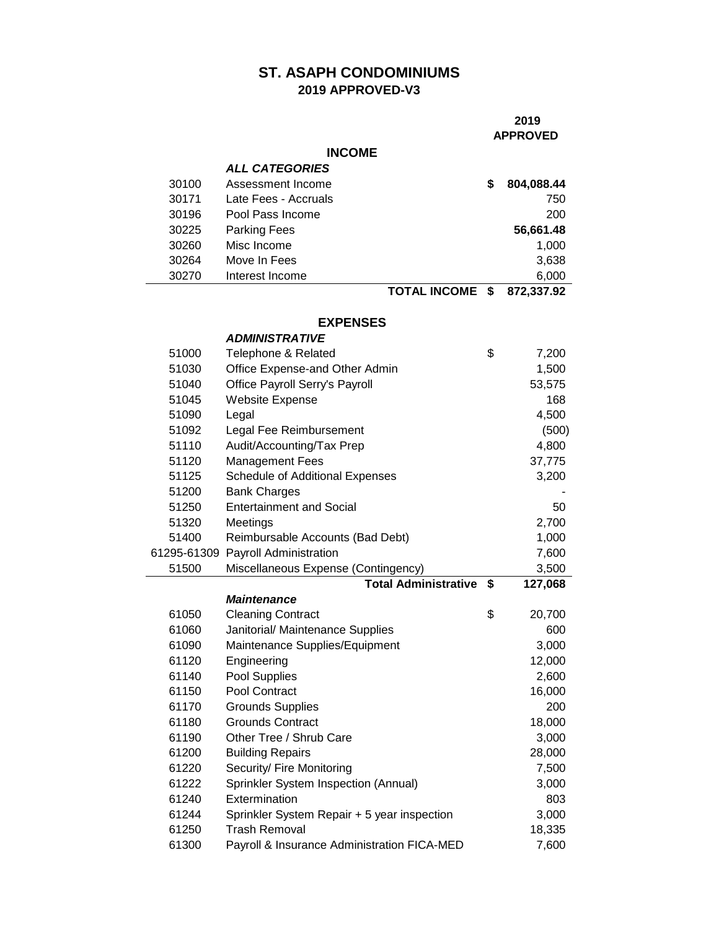## **ST. ASAPH CONDOMINIUMS 2019 APPROVED-V3**

### **APPROVED**

### **INCOME**

|       | <b>ALL CATEGORIES</b> |                                |            |
|-------|-----------------------|--------------------------------|------------|
| 30100 | Assessment Income     | 5                              | 804,088.44 |
| 30171 | Late Fees - Accruals  |                                | 750        |
| 30196 | Pool Pass Income      |                                | 200        |
| 30225 | <b>Parking Fees</b>   |                                | 56,661.48  |
| 30260 | Misc Income           |                                | 1,000      |
| 30264 | Move In Fees          |                                | 3,638      |
| 30270 | Interest Income       |                                | 6,000      |
|       |                       | TATIL BIAALLE<br>$\rightarrow$ | 878 887 88 |

**TOTAL INCOME \$ 872,337.92**

### **EXPENSES**

|                | <b>ADMINISTRATIVE</b>                                               |                 |
|----------------|---------------------------------------------------------------------|-----------------|
| 51000          | Telephone & Related                                                 | \$<br>7,200     |
| 51030          | Office Expense-and Other Admin                                      | 1,500           |
| 51040          | Office Payroll Serry's Payroll                                      | 53,575          |
| 51045          | <b>Website Expense</b>                                              | 168             |
| 51090          | Legal                                                               | 4,500           |
| 51092          | Legal Fee Reimbursement                                             | (500)           |
| 51110          | Audit/Accounting/Tax Prep                                           | 4,800           |
| 51120          | <b>Management Fees</b>                                              | 37,775          |
| 51125          | <b>Schedule of Additional Expenses</b>                              | 3,200           |
| 51200          | <b>Bank Charges</b>                                                 |                 |
| 51250          | <b>Entertainment and Social</b>                                     | 50              |
| 51320          | Meetings                                                            | 2,700           |
| 51400          | Reimbursable Accounts (Bad Debt)                                    | 1,000           |
|                | 61295-61309 Payroll Administration                                  | 7,600           |
| 51500          | Miscellaneous Expense (Contingency)                                 | 3,500           |
|                | <b>Total Administrative</b>                                         | \$<br>127,068   |
|                | <b>Maintenance</b>                                                  |                 |
| 61050          | <b>Cleaning Contract</b>                                            | \$<br>20,700    |
| 61060          | Janitorial/ Maintenance Supplies                                    | 600             |
| 61090          | Maintenance Supplies/Equipment                                      | 3,000           |
| 61120          | Engineering                                                         | 12,000          |
| 61140          |                                                                     |                 |
|                | Pool Supplies                                                       | 2,600           |
| 61150          | Pool Contract                                                       | 16,000          |
| 61170          | <b>Grounds Supplies</b>                                             | 200             |
| 61180          | <b>Grounds Contract</b>                                             | 18,000          |
| 61190          | Other Tree / Shrub Care                                             | 3,000           |
| 61200          | <b>Building Repairs</b>                                             | 28,000          |
| 61220          | Security/ Fire Monitoring                                           | 7,500           |
| 61222          | Sprinkler System Inspection (Annual)                                | 3,000           |
| 61240          | Extermination                                                       | 803             |
| 61244          | Sprinkler System Repair + 5 year inspection                         | 3,000           |
| 61250<br>61300 | <b>Trash Removal</b><br>Payroll & Insurance Administration FICA-MED | 18,335<br>7,600 |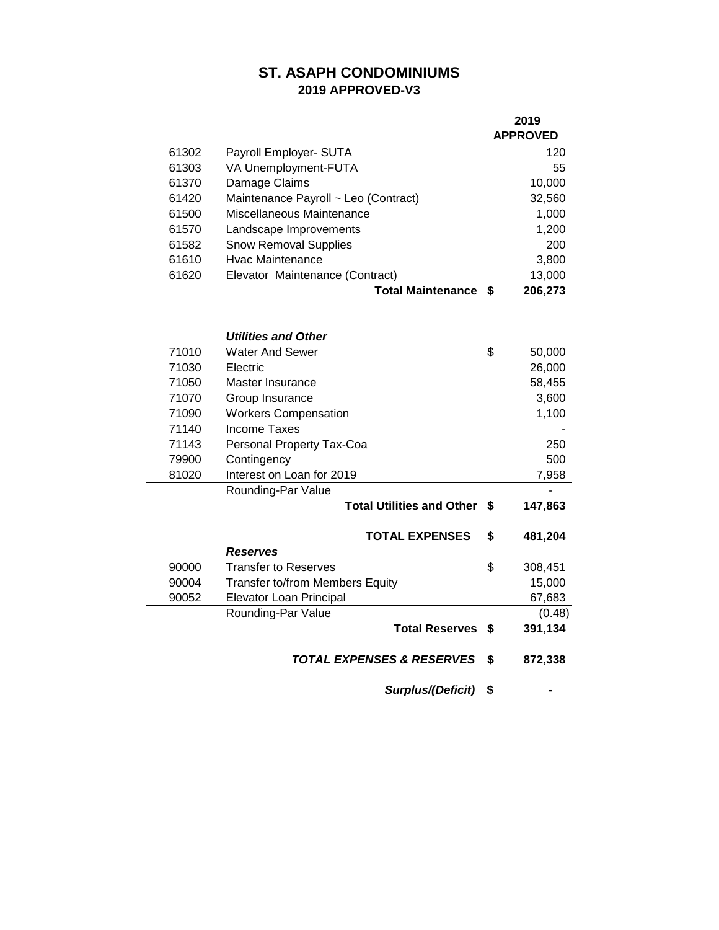# **ST. ASAPH CONDOMINIUMS 2019 APPROVED-V3**

|       |                                        |    | 2019            |
|-------|----------------------------------------|----|-----------------|
|       |                                        |    | <b>APPROVED</b> |
| 61302 | Payroll Employer- SUTA                 |    | 120             |
| 61303 | VA Unemployment-FUTA                   |    | 55              |
| 61370 | Damage Claims                          |    | 10,000          |
| 61420 | Maintenance Payroll ~ Leo (Contract)   |    | 32,560          |
| 61500 | Miscellaneous Maintenance              |    | 1,000           |
| 61570 | Landscape Improvements                 |    | 1,200           |
| 61582 | <b>Snow Removal Supplies</b>           |    | 200             |
| 61610 | <b>Hyac Maintenance</b>                |    | 3,800           |
| 61620 | Elevator Maintenance (Contract)        |    | 13,000          |
|       | <b>Total Maintenance</b>               | \$ | 206,273         |
|       |                                        |    |                 |
|       |                                        |    |                 |
|       | <b>Utilities and Other</b>             |    |                 |
| 71010 | <b>Water And Sewer</b>                 | \$ | 50,000          |
| 71030 | Electric                               |    | 26,000          |
| 71050 | Master Insurance                       |    | 58,455          |
| 71070 | Group Insurance                        |    | 3,600           |
| 71090 | <b>Workers Compensation</b>            |    | 1,100           |
| 71140 | <b>Income Taxes</b>                    |    |                 |
| 71143 | Personal Property Tax-Coa              |    | 250             |
| 79900 | Contingency                            |    | 500             |
| 81020 | Interest on Loan for 2019              |    | 7,958           |
|       | Rounding-Par Value                     |    |                 |
|       | <b>Total Utilities and Other</b>       | \$ | 147,863         |
|       |                                        |    |                 |
|       | <b>TOTAL EXPENSES</b>                  | \$ | 481,204         |
|       | <b>Reserves</b>                        |    |                 |
| 90000 | <b>Transfer to Reserves</b>            | \$ | 308,451         |
| 90004 | <b>Transfer to/from Members Equity</b> |    | 15,000          |
| 90052 | Elevator Loan Principal                |    | 67,683          |
|       | Rounding-Par Value                     |    | (0.48)          |
|       | <b>Total Reserves</b>                  | S. | 391,134         |
|       |                                        |    |                 |
|       | <b>TOTAL EXPENSES &amp; RESERVES</b>   | \$ | 872,338         |

*Surplus/(Deficit)* **\$ -**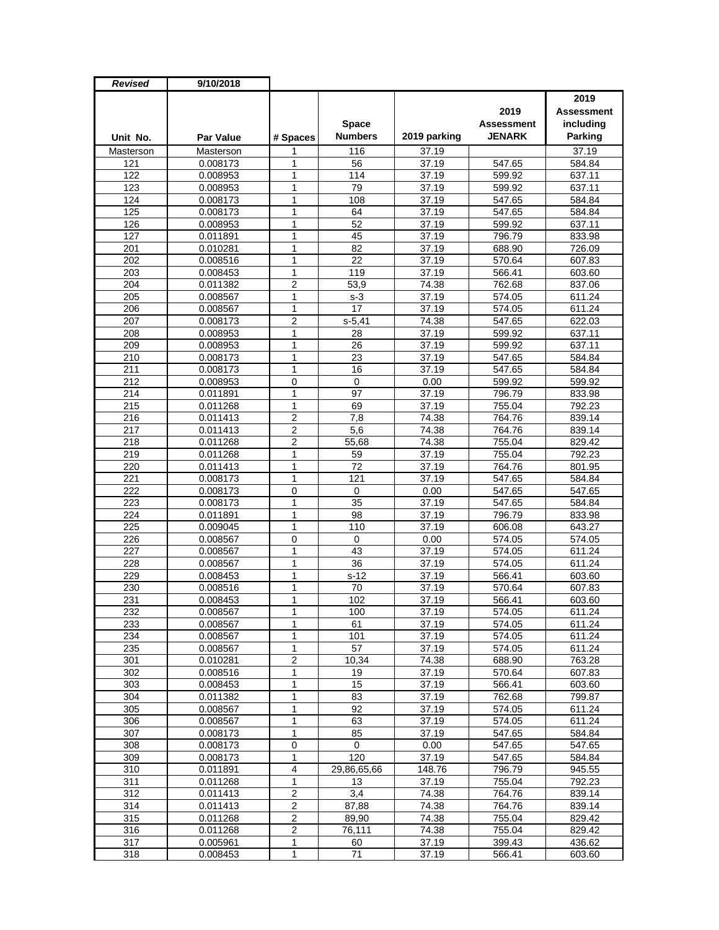| Revised   | 9/10/2018        |                         |                |                    |                   |                |
|-----------|------------------|-------------------------|----------------|--------------------|-------------------|----------------|
|           |                  |                         |                |                    |                   | 2019           |
|           |                  |                         |                |                    | 2019              | Assessment     |
|           |                  |                         | <b>Space</b>   |                    | <b>Assessment</b> | including      |
| Unit No.  | <b>Par Value</b> | # Spaces                | <b>Numbers</b> | 2019 parking       | <b>JENARK</b>     | <b>Parking</b> |
| Masterson | Masterson        | 1                       | 116            | 37.19              |                   | 37.19          |
| 121       | 0.008173         | 1                       | 56             | 37.19              | 547.65            | 584.84         |
| 122       | 0.008953         | 1                       | 114            | 37.19              | 599.92            | 637.11         |
| 123       | 0.008953         | 1                       | 79             | 37.19              | 599.92            | 637.11         |
| 124       | 0.008173         | 1                       | 108            | 37.19              | 547.65            | 584.84         |
| 125       | 0.008173         | 1                       | 64             | 37.19              | 547.65            | 584.84         |
| 126       | 0.008953         | 1                       | 52             | 37.19              | 599.92            | 637.11         |
| 127       | 0.011891         | $\mathbf{1}$            | 45             | 37.19              | 796.79            | 833.98         |
| 201       | 0.010281         | 1                       | 82             | 37.19              | 688.90            | 726.09         |
| 202       | 0.008516         | 1                       | 22             | 37.19              | 570.64            | 607.83         |
| 203       | 0.008453         | 1                       | 119            | 37.19              | 566.41            | 603.60         |
| 204       | 0.011382         | $\overline{2}$          | 53,9           | 74.38              | 762.68            | 837.06         |
| 205       | 0.008567         | 1                       | $s-3$          | 37.19              | 574.05            | 611.24         |
| 206       | 0.008567         | 1                       | 17             | 37.19              | 574.05            | 611.24         |
| 207       | 0.008173         | $\overline{2}$          | $s-5,41$       | 74.38              | 547.65            | 622.03         |
| 208       | 0.008953         | $\mathbf{1}$            | 28             | 37.19              | 599.92            | 637.11         |
| 209       | 0.008953         | 1                       | 26             | 37.19              | 599.92            | 637.11         |
| 210       | 0.008173         | 1                       | 23             | 37.19              | 547.65            | 584.84         |
| 211       | 0.008173         | 1                       | 16             | 37.19              | 547.65            | 584.84         |
| 212       | 0.008953         | $\mathbf 0$             | 0              | 0.00               | 599.92            | 599.92         |
| 214       | 0.011891         | 1                       | 97             | $\overline{37.19}$ | 796.79            | 833.98         |
| 215       | 0.011268         | 1                       | 69             | 37.19              | 755.04            | 792.23         |
| 216       | 0.011413         | $\overline{2}$          | 7,8            | 74.38              | 764.76            | 839.14         |
| 217       | 0.011413         | $\overline{2}$          | 5,6            | 74.38              | 764.76            | 839.14         |
| 218       | 0.011268         | $\overline{c}$          | 55,68          | 74.38              | 755.04            | 829.42         |
| 219       | 0.011268         | $\mathbf{1}$            | 59             | 37.19              | 755.04            | 792.23         |
| 220       | 0.011413         | 1                       | 72             | 37.19              | 764.76            | 801.95         |
| 221       | 0.008173         | $\mathbf{1}$            | 121            | 37.19              | 547.65            | 584.84         |
| 222       | 0.008173         | $\mathbf 0$             | 0              | 0.00               | 547.65            | 547.65         |
| 223       | 0.008173         | 1                       | 35             | 37.19              | 547.65            | 584.84         |
| 224       | 0.011891         | 1                       | 98             | 37.19              | 796.79            | 833.98         |
| 225       | 0.009045         | 1                       | 110            | 37.19              | 606.08            | 643.27         |
| 226       | 0.008567         | 0                       | 0              | 0.00               | 574.05            | 574.05         |
| 227       | 0.008567         | $\mathbf{1}$            | 43             | 37.19              | 574.05            | 611.24         |
| 228       | 0.008567         | $\mathbf{1}$            | 36             | 37.19              | 574.05            | 611.24         |
| 229       | 0.008453         | 1                       | $s-12$         | 37.19              | 566.41            | 603.60         |
| 230       | 0.008516         | 1                       | 70             | 37.19              | 570.64            | 607.83         |
| 231       | 0.008453         | 1                       | 102            | 37.19              | 566.41            | 603.60         |
| 232       | 0.008567         | 1                       | 100            | 37.19              | 574.05            | 611.24         |
| 233       | 0.008567         | 1                       | 61             | 37.19              | 574.05            | 611.24         |
| 234       | 0.008567         | 1                       | 101            | 37.19              | 574.05            | 611.24         |
| 235       | 0.008567         | $\mathbf{1}$            | 57             | 37.19              | 574.05            | 611.24         |
| 301       | 0.010281         | 2                       | 10,34          | 74.38              | 688.90            | 763.28         |
| 302       | 0.008516         | 1                       | 19             | 37.19              | 570.64            | 607.83         |
| 303       | 0.008453         | 1                       | 15             | 37.19              | 566.41            | 603.60         |
| 304       | 0.011382         | 1                       | 83             | 37.19              | 762.68            | 799.87         |
| 305       | 0.008567         | 1                       | 92             | 37.19              | 574.05            | 611.24         |
| 306       | 0.008567         | 1                       | 63             | 37.19              | 574.05            | 611.24         |
| 307       | 0.008173         | $\mathbf{1}$            | 85             | 37.19              | 547.65            | 584.84         |
| 308       | 0.008173         | $\pmb{0}$               | $\mathbf 0$    | 0.00               | 547.65            | 547.65         |
| 309       | 0.008173         | 1                       | 120            | 37.19              | 547.65            | 584.84         |
| 310       | 0.011891         | 4                       | 29,86,65,66    | 148.76             | 796.79            | 945.55         |
| 311       | 0.011268         | $\mathbf{1}$            | 13             | 37.19              | 755.04            | 792.23         |
| 312       | 0.011413         | $\mathbf 2$             | 3,4            | 74.38              | 764.76            | 839.14         |
| 314       | 0.011413         | $\overline{2}$          | 87,88          | 74.38              | 764.76            | 839.14         |
| 315       | 0.011268         | $\overline{\mathbf{c}}$ | 89,90          | 74.38              | 755.04            | 829.42         |
| 316       | 0.011268         | 2                       | 76,111         | 74.38              | 755.04            | 829.42         |
| 317       | 0.005961         | 1                       | 60             | 37.19              | 399.43            | 436.62         |
| 318       | 0.008453         | $\mathbf{1}$            | 71             | 37.19              | 566.41            | 603.60         |